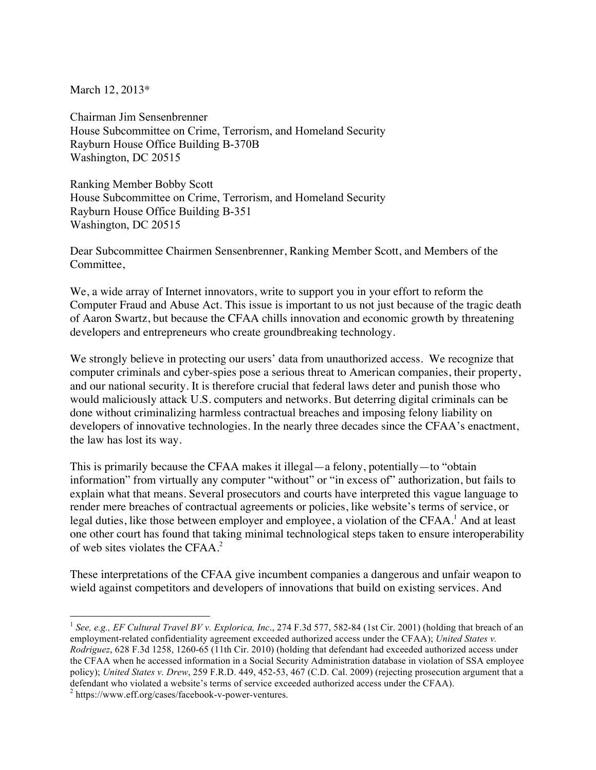March 12, 2013\*

Chairman Jim Sensenbrenner House Subcommittee on Crime, Terrorism, and Homeland Security Rayburn House Office Building B-370B Washington, DC 20515

Ranking Member Bobby Scott House Subcommittee on Crime, Terrorism, and Homeland Security Rayburn House Office Building B-351 Washington, DC 20515

Dear Subcommittee Chairmen Sensenbrenner, Ranking Member Scott, and Members of the Committee,

We, a wide array of Internet innovators, write to support you in your effort to reform the Computer Fraud and Abuse Act. This issue is important to us not just because of the tragic death of Aaron Swartz, but because the CFAA chills innovation and economic growth by threatening developers and entrepreneurs who create groundbreaking technology.

We strongly believe in protecting our users' data from unauthorized access. We recognize that computer criminals and cyber-spies pose a serious threat to American companies, their property, and our national security. It is therefore crucial that federal laws deter and punish those who would maliciously attack U.S. computers and networks. But deterring digital criminals can be done without criminalizing harmless contractual breaches and imposing felony liability on developers of innovative technologies. In the nearly three decades since the CFAA's enactment, the law has lost its way.

This is primarily because the CFAA makes it illegal—a felony, potentially—to "obtain information" from virtually any computer "without" or "in excess of" authorization, but fails to explain what that means. Several prosecutors and courts have interpreted this vague language to render mere breaches of contractual agreements or policies, like website's terms of service, or legal duties, like those between employer and employee, a violation of the CFAA. <sup>1</sup> And at least one other court has found that taking minimal technological steps taken to ensure interoperability of web sites violates the CFAA. 2

These interpretations of the CFAA give incumbent companies a dangerous and unfair weapon to wield against competitors and developers of innovations that build on existing services. And

 <sup>1</sup> *See, e.g., EF Cultural Travel BV v. Explorica, Inc*., 274 F.3d 577, 582-84 (1st Cir. 2001) (holding that breach of an employment-related confidentiality agreement exceeded authorized access under the CFAA); *United States v. Rodriguez*, 628 F.3d 1258, 1260-65 (11th Cir. 2010) (holding that defendant had exceeded authorized access under the CFAA when he accessed information in a Social Security Administration database in violation of SSA employee policy); *United States v. Drew*, 259 F.R.D. 449, 452-53, 467 (C.D. Cal. 2009) (rejecting prosecution argument that a defendant who violated a website's terms of service exceeded authorized access under the CFAA). <sup>2</sup> https://www.eff.org/cases/facebook-v-power-ventures.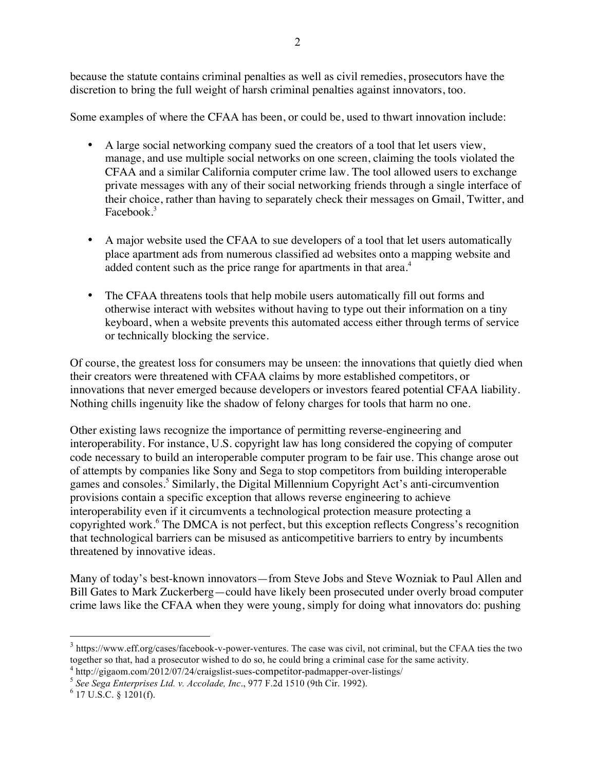because the statute contains criminal penalties as well as civil remedies, prosecutors have the discretion to bring the full weight of harsh criminal penalties against innovators, too.

Some examples of where the CFAA has been, or could be, used to thwart innovation include:

- A large social networking company sued the creators of a tool that let users view, manage, and use multiple social networks on one screen, claiming the tools violated the CFAA and a similar California computer crime law. The tool allowed users to exchange private messages with any of their social networking friends through a single interface of their choice, rather than having to separately check their messages on Gmail, Twitter, and Facebook.<sup>3</sup>
- A major website used the CFAA to sue developers of a tool that let users automatically place apartment ads from numerous classified ad websites onto a mapping website and added content such as the price range for apartments in that area.<sup>4</sup>
- The CFAA threatens tools that help mobile users automatically fill out forms and otherwise interact with websites without having to type out their information on a tiny keyboard, when a website prevents this automated access either through terms of service or technically blocking the service.

Of course, the greatest loss for consumers may be unseen: the innovations that quietly died when their creators were threatened with CFAA claims by more established competitors, or innovations that never emerged because developers or investors feared potential CFAA liability. Nothing chills ingenuity like the shadow of felony charges for tools that harm no one.

Other existing laws recognize the importance of permitting reverse-engineering and interoperability. For instance, U.S. copyright law has long considered the copying of computer code necessary to build an interoperable computer program to be fair use. This change arose out of attempts by companies like Sony and Sega to stop competitors from building interoperable games and consoles.<sup>5</sup> Similarly, the Digital Millennium Copyright Act's anti-circumvention provisions contain a specific exception that allows reverse engineering to achieve interoperability even if it circumvents a technological protection measure protecting a copyrighted work.<sup>6</sup> The DMCA is not perfect, but this exception reflects Congress's recognition that technological barriers can be misused as anticompetitive barriers to entry by incumbents threatened by innovative ideas.

Many of today's best-known innovators—from Steve Jobs and Steve Wozniak to Paul Allen and Bill Gates to Mark Zuckerberg—could have likely been prosecuted under overly broad computer crime laws like the CFAA when they were young, simply for doing what innovators do: pushing

<sup>&</sup>lt;sup>3</sup> https://www.eff.org/cases/facebook-v-power-ventures. The case was civil, not criminal, but the CFAA ties the two together so that, had a prosecutor wished to do so, he could bring a criminal case for the same activity.

<sup>4</sup> http://gigaom.com/2012/07/24/craigslist-sues-competitor-padmapper-over-listings/ <sup>5</sup> *See Sega Enterprises Ltd. v. Accolade, Inc*., 977 F.2d 1510 (9th Cir. 1992). <sup>6</sup> 17 U.S.C. § 1201(f).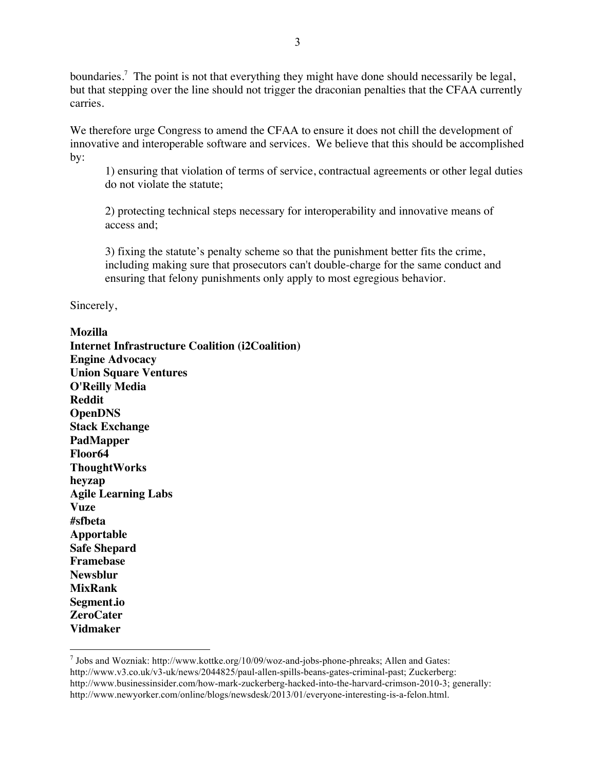boundaries.<sup>7</sup> The point is not that everything they might have done should necessarily be legal, but that stepping over the line should not trigger the draconian penalties that the CFAA currently carries.

We therefore urge Congress to amend the CFAA to ensure it does not chill the development of innovative and interoperable software and services. We believe that this should be accomplished by:

1) ensuring that violation of terms of service, contractual agreements or other legal duties do not violate the statute;

2) protecting technical steps necessary for interoperability and innovative means of access and;

3) fixing the statute's penalty scheme so that the punishment better fits the crime, including making sure that prosecutors can't double-charge for the same conduct and ensuring that felony punishments only apply to most egregious behavior.

Sincerely,

## **Mozilla**

**Internet Infrastructure Coalition (i2Coalition) Engine Advocacy Union Square Ventures O'Reilly Media Reddit OpenDNS Stack Exchange PadMapper Floor64 ThoughtWorks heyzap Agile Learning Labs Vuze #sfbeta Apportable Safe Shepard Framebase Newsblur MixRank Segment.io ZeroCater Vidmaker**

 $<sup>7</sup>$  Jobs and Wozniak: http://www.kottke.org/10/09/woz-and-jobs-phone-phreaks; Allen and Gates:</sup> http://www.v3.co.uk/v3-uk/news/2044825/paul-allen-spills-beans-gates-criminal-past; Zuckerberg: http://www.businessinsider.com/how-mark-zuckerberg-hacked-into-the-harvard-crimson-2010-3; generally: http://www.newyorker.com/online/blogs/newsdesk/2013/01/everyone-interesting-is-a-felon.html.